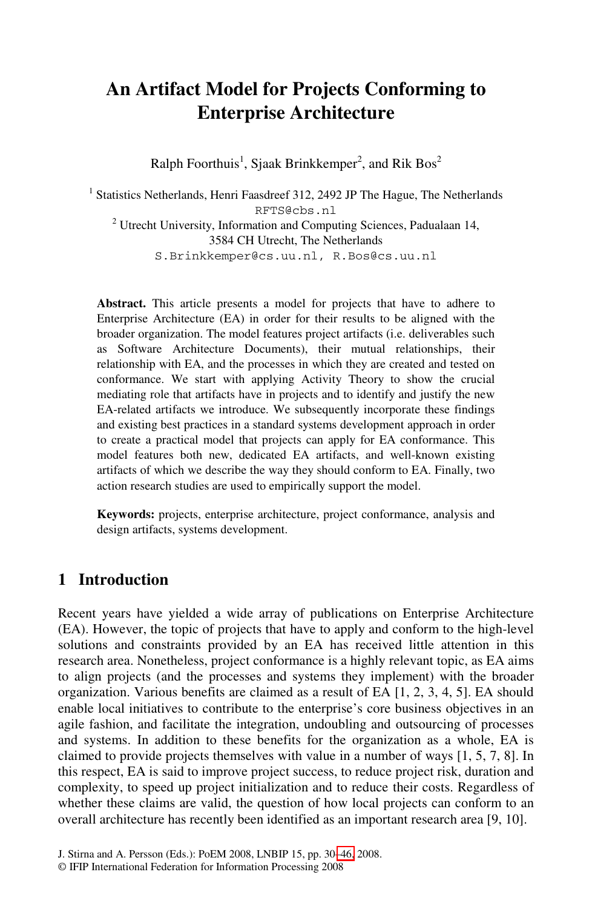# **An Artifact Model for Projects Conforming to Enterprise Architecture**

Ralph Foorthuis<sup>1</sup>, Sjaak Brinkkemper<sup>2</sup>, and Rik Bos<sup>2</sup>

<sup>1</sup> Statistics Netherlands, Henri Faasdreef 312, 2492 JP The Hague, The Netherlands RFTS@cbs.nl

<sup>2</sup> Utrecht University, Information and Computing Sciences, Padualaan 14, 3584 CH Utrecht, The Netherlands

S.Brinkkemper@cs.uu.nl, R.Bos@cs.uu.nl

**Abstract.** This article presents a model for projects that have to adhere to Enterprise Architecture (EA) in order for their results to be aligned with the broader organization. The model features project artifacts (i.e. deliverables such as Software Architecture Documents), their mutual relationships, their relationship with EA, and the processes in which they are created and tested on conformance. We start with applying Activity Theory to show the crucial mediating role that artifacts have in projects and to identify and justify the new EA-related artifacts we introduce. We subsequently incorporate these findings and existing best practices in a standard systems development approach in order to create a practical model that projects can apply for EA conformance. This model features both new, dedicated EA artifacts, and well-known existing artifacts of which we describe the way they should conform to EA. Finally, two action research studies are used to empirically support the model.

**Keywords:** projects, enterprise architecture, project conformance, analysis and design artifacts, systems development.

# **1 Introduction**

Recent years have yielded a wide array of publications on Enterprise Architecture (EA). However, the topic of projects that have to apply and conform to the high-level solutions and constraints provided by an EA has received little attention in this research area. Nonetheless, project conformance is a highly relevant topic, as EA aims to align projects (and the processes and systems they implement) with the broader organization. Various benefits are claimed as a result of EA [1, 2, 3, 4, 5]. EA should enable local initiatives to contribute to the enterprise's core business objectives in an agile fashion, and facilitate t[he i](#page-16-0)ntegration, undoubling and outsourcing of processes and systems. In addition to these benefits for the organization as a whole, EA is claimed to provide projects themselves with value in a number of ways [1, 5, 7, 8]. In this respect, EA is said to improve project success, to reduce project risk, duration and complexity, to speed up project initialization and to reduce their costs. Regardless of whether these claims are valid, the question of how local projects can conform to an overall architecture has recently been identified as an important research area [9, 10].

J. Stirna and A. Persson (Eds.): PoEM 2008, LNBIP 15, pp. 30–46, 2008.

<sup>©</sup> IFIP International Federation for Information Processing 2008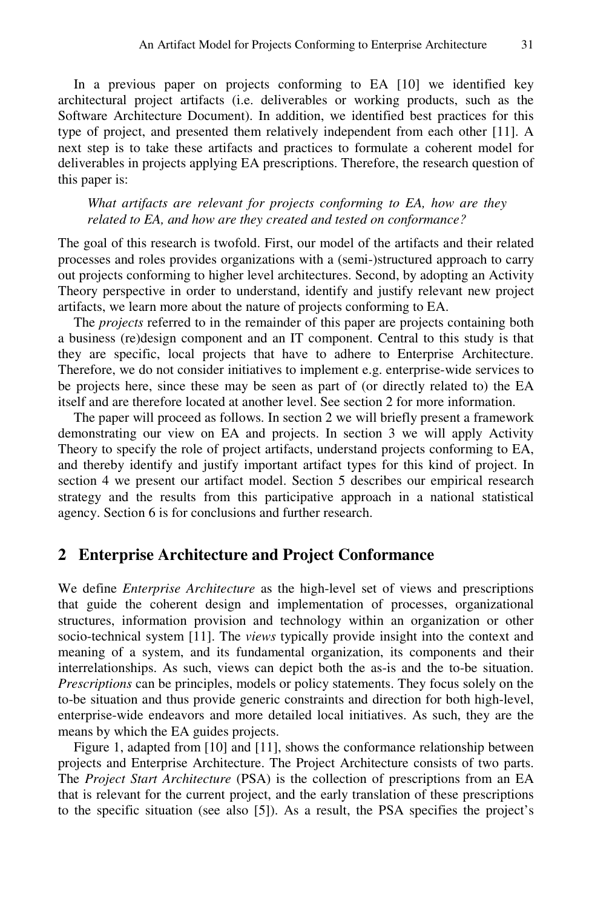In a previous paper on projects conforming to EA [10] we identified key architectural project artifacts (i.e. deliverables or working products, such as the Software Architecture Document). In addition, we identified best practices for this type of project, and presented them relatively independent from each other [11]. A next step is to take these artifacts and practices to formulate a coherent model for deliverables in projects applying EA prescriptions. Therefore, the research question of this paper is:

*What artifacts are relevant for projects conforming to EA, how are they related to EA, and how are they created and tested on conformance?* 

The goal of this research is twofold. First, our model of the artifacts and their related processes and roles provides organizations with a (semi-)structured approach to carry out projects conforming to higher level architectures. Second, by adopting an Activity Theory perspective in order to understand, identify and justify relevant new project artifacts, we learn more about the nature of projects conforming to EA.

The *projects* referred to in the remainder of this paper are projects containing both a business (re)design component and an IT component. Central to this study is that they are specific, local projects that have to adhere to Enterprise Architecture. Therefore, we do not consider initiatives to implement e.g. enterprise-wide services to be projects here, since these may be seen as part of (or directly related to) the EA itself and are therefore located at another level. See section 2 for more information.

The paper will proceed as follows. In section 2 we will briefly present a framework demonstrating our view on EA and projects. In section 3 we will apply Activity Theory to specify the role of project artifacts, understand projects conforming to EA, and thereby identify and justify important artifact types for this kind of project. In section 4 we present our artifact model. Section 5 describes our empirical research strategy and the results from this participative approach in a national statistical agency. Section 6 is for conclusions and further research.

# **2 Enterprise Architecture and Project Conformance**

We define *Enterprise Architecture* as the high-level set of views and prescriptions that guide the coherent design and implementation of processes, organizational structures, information provision and technology within an organization or other socio-technical system [11]. The *views* typically provide insight into the context and meaning of a system, and its fundamental organization, its components and their interrelationships. As such, views can depict both the as-is and the to-be situation. *Prescriptions* can be principles, models or policy statements. They focus solely on the to-be situation and thus provide generic constraints and direction for both high-level, enterprise-wide endeavors and more detailed local initiatives. As such, they are the means by which the EA guides projects.

Figure 1, adapted from [10] and [11], shows the conformance relationship between projects and Enterprise Architecture. The Project Architecture consists of two parts. The *Project Start Architecture* (PSA) is the collection of prescriptions from an EA that is relevant for the current project, and the early translation of these prescriptions to the specific situation (see also [5]). As a result, the PSA specifies the project's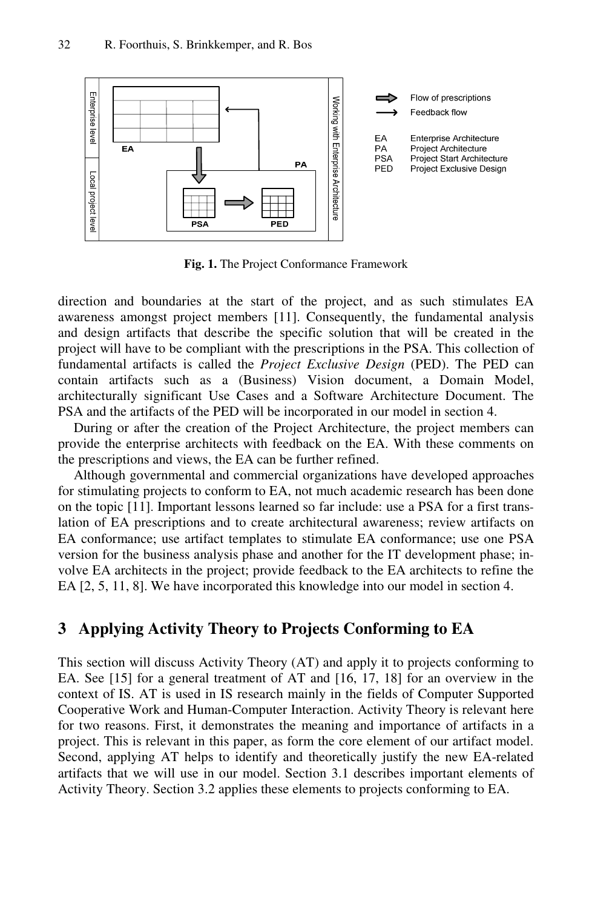

**Fig. 1.** The Project Conformance Framework

direction and boundaries at the start of the project, and as such stimulates EA awareness amongst project members [11]. Consequently, the fundamental analysis and design artifacts that describe the specific solution that will be created in the project will have to be compliant with the prescriptions in the PSA. This collection of fundamental artifacts is called the *Project Exclusive Design* (PED). The PED can contain artifacts such as a (Business) Vision document, a Domain Model, architecturally significant Use Cases and a Software Architecture Document. The PSA and the artifacts of the PED will be incorporated in our model in section 4.

During or after the creation of the Project Architecture, the project members can provide the enterprise architects with feedback on the EA. With these comments on the prescriptions and views, the EA can be further refined.

Although governmental and commercial organizations have developed approaches for stimulating projects to conform to EA, not much academic research has been done on the topic [11]. Important lessons learned so far include: use a PSA for a first translation of EA prescriptions and to create architectural awareness; review artifacts on EA conformance; use artifact templates to stimulate EA conformance; use one PSA version for the business analysis phase and another for the IT development phase; involve EA architects in the project; provide feedback to the EA architects to refine the EA [2, 5, 11, 8]. We have incorporated this knowledge into our model in section 4.

### **3 Applying Activity Theory to Projects Conforming to EA**

This section will discuss Activity Theory (AT) and apply it to projects conforming to EA. See [15] for a general treatment of AT and [16, 17, 18] for an overview in the context of IS. AT is used in IS research mainly in the fields of Computer Supported Cooperative Work and Human-Computer Interaction. Activity Theory is relevant here for two reasons. First, it demonstrates the meaning and importance of artifacts in a project. This is relevant in this paper, as form the core element of our artifact model. Second, applying AT helps to identify and theoretically justify the new EA-related artifacts that we will use in our model. Section 3.1 describes important elements of Activity Theory. Section 3.2 applies these elements to projects conforming to EA.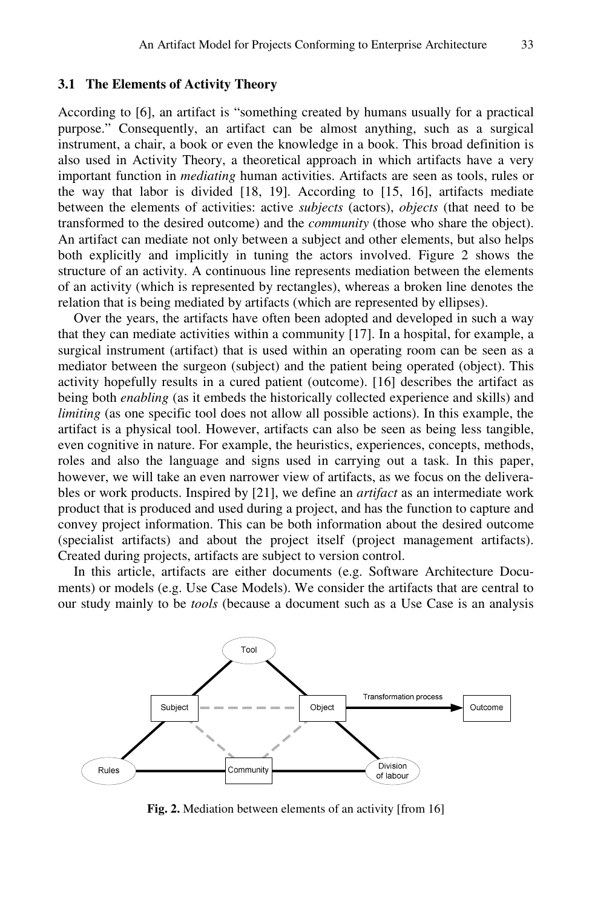#### **3.1 The Elements of Activity Theory**

According to [6], an artifact is "something created by humans usually for a practical purpose." Consequently, an artifact can be almost anything, such as a surgical instrument, a chair, a book or even the knowledge in a book. This broad definition is also used in Activity Theory, a theoretical approach in which artifacts have a very important function in *mediating* human activities. Artifacts are seen as tools, rules or the way that labor is divided [18, 19]. According to [15, 16], artifacts mediate between the elements of activities: active *subjects* (actors), *objects* (that need to be transformed to the desired outcome) and the *community* (those who share the object). An artifact can mediate not only between a subject and other elements, but also helps both explicitly and implicitly in tuning the actors involved. Figure 2 shows the structure of an activity. A continuous line represents mediation between the elements of an activity (which is represented by rectangles), whereas a broken line denotes the relation that is being mediated by artifacts (which are represented by ellipses).

Over the years, the artifacts have often been adopted and developed in such a way that they can mediate activities within a community [17]. In a hospital, for example, a surgical instrument (artifact) that is used within an operating room can be seen as a mediator between the surgeon (subject) and the patient being operated (object). This activity hopefully results in a cured patient (outcome). [16] describes the artifact as being both *enabling* (as it embeds the historically collected experience and skills) and *limiting* (as one specific tool does not allow all possible actions). In this example, the artifact is a physical tool. However, artifacts can also be seen as being less tangible, even cognitive in nature. For example, the heuristics, experiences, concepts, methods, roles and also the language and signs used in carrying out a task. In this paper, however, we will take an even narrower view of artifacts, as we focus on the deliverables or work products. Inspired by [21], we define an *artifact* as an intermediate work product that is produced and used during a project, and has the function to capture and convey project information. This can be both information about the desired outcome (specialist artifacts) and about the project itself (project management artifacts). Created during projects, artifacts are subject to version control.

In this article, artifacts are either documents (e.g. Software Architecture Documents) or models (e.g. Use Case Models). We consider the artifacts that are central to our study mainly to be *tools* (because a document such as a Use Case is an analysis



**Fig. 2.** Mediation between elements of an activity [from 16]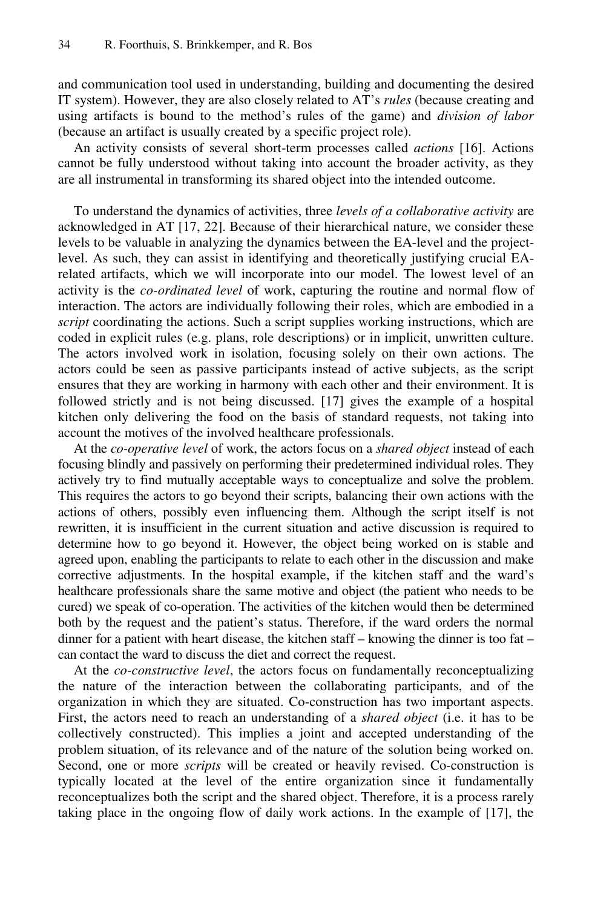and communication tool used in understanding, building and documenting the desired IT system). However, they are also closely related to AT's *rules* (because creating and using artifacts is bound to the method's rules of the game) and *division of labor* (because an artifact is usually created by a specific project role).

An activity consists of several short-term processes called *actions* [16]. Actions cannot be fully understood without taking into account the broader activity, as they are all instrumental in transforming its shared object into the intended outcome.

To understand the dynamics of activities, three *levels of a collaborative activity* are acknowledged in AT [17, 22]. Because of their hierarchical nature, we consider these levels to be valuable in analyzing the dynamics between the EA-level and the projectlevel. As such, they can assist in identifying and theoretically justifying crucial EArelated artifacts, which we will incorporate into our model. The lowest level of an activity is the *co-ordinated level* of work, capturing the routine and normal flow of interaction. The actors are individually following their roles, which are embodied in a *script* coordinating the actions. Such a script supplies working instructions, which are coded in explicit rules (e.g. plans, role descriptions) or in implicit, unwritten culture. The actors involved work in isolation, focusing solely on their own actions. The actors could be seen as passive participants instead of active subjects, as the script ensures that they are working in harmony with each other and their environment. It is followed strictly and is not being discussed. [17] gives the example of a hospital kitchen only delivering the food on the basis of standard requests, not taking into account the motives of the involved healthcare professionals.

At the *co-operative level* of work, the actors focus on a *shared object* instead of each focusing blindly and passively on performing their predetermined individual roles. They actively try to find mutually acceptable ways to conceptualize and solve the problem. This requires the actors to go beyond their scripts, balancing their own actions with the actions of others, possibly even influencing them. Although the script itself is not rewritten, it is insufficient in the current situation and active discussion is required to determine how to go beyond it. However, the object being worked on is stable and agreed upon, enabling the participants to relate to each other in the discussion and make corrective adjustments. In the hospital example, if the kitchen staff and the ward's healthcare professionals share the same motive and object (the patient who needs to be cured) we speak of co-operation. The activities of the kitchen would then be determined both by the request and the patient's status. Therefore, if the ward orders the normal dinner for a patient with heart disease, the kitchen staff – knowing the dinner is too fat – can contact the ward to discuss the diet and correct the request.

At the *co-constructive level*, the actors focus on fundamentally reconceptualizing the nature of the interaction between the collaborating participants, and of the organization in which they are situated. Co-construction has two important aspects. First, the actors need to reach an understanding of a *shared object* (i.e. it has to be collectively constructed). This implies a joint and accepted understanding of the problem situation, of its relevance and of the nature of the solution being worked on. Second, one or more *scripts* will be created or heavily revised. Co-construction is typically located at the level of the entire organization since it fundamentally reconceptualizes both the script and the shared object. Therefore, it is a process rarely taking place in the ongoing flow of daily work actions. In the example of [17], the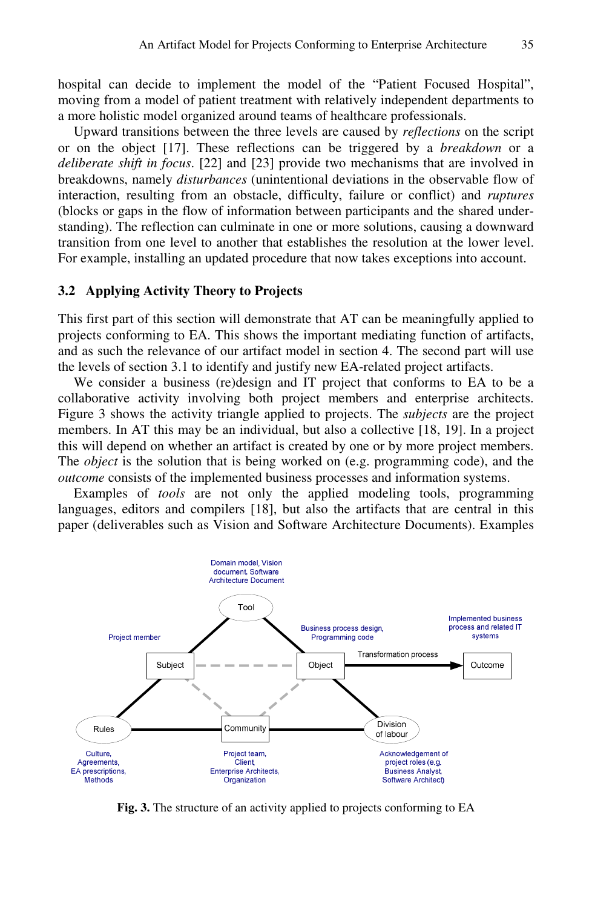hospital can decide to implement the model of the "Patient Focused Hospital", moving from a model of patient treatment with relatively independent departments to a more holistic model organized around teams of healthcare professionals.

Upward transitions between the three levels are caused by *reflections* on the script or on the object [17]. These reflections can be triggered by a *breakdown* or a *deliberate shift in focus*. [22] and [23] provide two mechanisms that are involved in breakdowns, namely *disturbances* (unintentional deviations in the observable flow of interaction, resulting from an obstacle, difficulty, failure or conflict) and *ruptures* (blocks or gaps in the flow of information between participants and the shared understanding). The reflection can culminate in one or more solutions, causing a downward transition from one level to another that establishes the resolution at the lower level. For example, installing an updated procedure that now takes exceptions into account.

#### **3.2 Applying Activity Theory to Projects**

This first part of this section will demonstrate that AT can be meaningfully applied to projects conforming to EA. This shows the important mediating function of artifacts, and as such the relevance of our artifact model in section 4. The second part will use the levels of section 3.1 to identify and justify new EA-related project artifacts.

We consider a business (re)design and IT project that conforms to EA to be a collaborative activity involving both project members and enterprise architects. Figure 3 shows the activity triangle applied to projects. The *subjects* are the project members. In AT this may be an individual, but also a collective [18, 19]. In a project this will depend on whether an artifact is created by one or by more project members. The *object* is the solution that is being worked on (e.g. programming code), and the *outcome* consists of the implemented business processes and information systems.

Examples of *tools* are not only the applied modeling tools, programming languages, editors and compilers [18], but also the artifacts that are central in this paper (deliverables such as Vision and Software Architecture Documents). Examples



**Fig. 3.** The structure of an activity applied to projects conforming to EA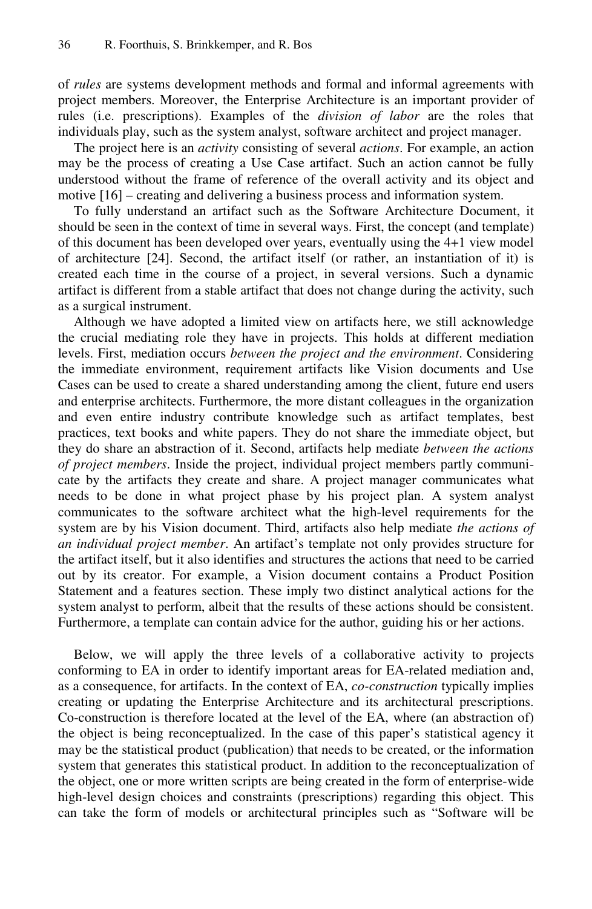of *rules* are systems development methods and formal and informal agreements with project members. Moreover, the Enterprise Architecture is an important provider of rules (i.e. prescriptions). Examples of the *division of labor* are the roles that individuals play, such as the system analyst, software architect and project manager.

The project here is an *activity* consisting of several *actions*. For example, an action may be the process of creating a Use Case artifact. Such an action cannot be fully understood without the frame of reference of the overall activity and its object and motive [16] – creating and delivering a business process and information system.

To fully understand an artifact such as the Software Architecture Document, it should be seen in the context of time in several ways. First, the concept (and template) of this document has been developed over years, eventually using the 4+1 view model of architecture [24]. Second, the artifact itself (or rather, an instantiation of it) is created each time in the course of a project, in several versions. Such a dynamic artifact is different from a stable artifact that does not change during the activity, such as a surgical instrument.

Although we have adopted a limited view on artifacts here, we still acknowledge the crucial mediating role they have in projects. This holds at different mediation levels. First, mediation occurs *between the project and the environment*. Considering the immediate environment, requirement artifacts like Vision documents and Use Cases can be used to create a shared understanding among the client, future end users and enterprise architects. Furthermore, the more distant colleagues in the organization and even entire industry contribute knowledge such as artifact templates, best practices, text books and white papers. They do not share the immediate object, but they do share an abstraction of it. Second, artifacts help mediate *between the actions of project members*. Inside the project, individual project members partly communicate by the artifacts they create and share. A project manager communicates what needs to be done in what project phase by his project plan. A system analyst communicates to the software architect what the high-level requirements for the system are by his Vision document. Third, artifacts also help mediate *the actions of an individual project member*. An artifact's template not only provides structure for the artifact itself, but it also identifies and structures the actions that need to be carried out by its creator. For example, a Vision document contains a Product Position Statement and a features section. These imply two distinct analytical actions for the system analyst to perform, albeit that the results of these actions should be consistent. Furthermore, a template can contain advice for the author, guiding his or her actions.

Below, we will apply the three levels of a collaborative activity to projects conforming to EA in order to identify important areas for EA-related mediation and, as a consequence, for artifacts. In the context of EA, *co-construction* typically implies creating or updating the Enterprise Architecture and its architectural prescriptions. Co-construction is therefore located at the level of the EA, where (an abstraction of) the object is being reconceptualized. In the case of this paper's statistical agency it may be the statistical product (publication) that needs to be created, or the information system that generates this statistical product. In addition to the reconceptualization of the object, one or more written scripts are being created in the form of enterprise-wide high-level design choices and constraints (prescriptions) regarding this object. This can take the form of models or architectural principles such as "Software will be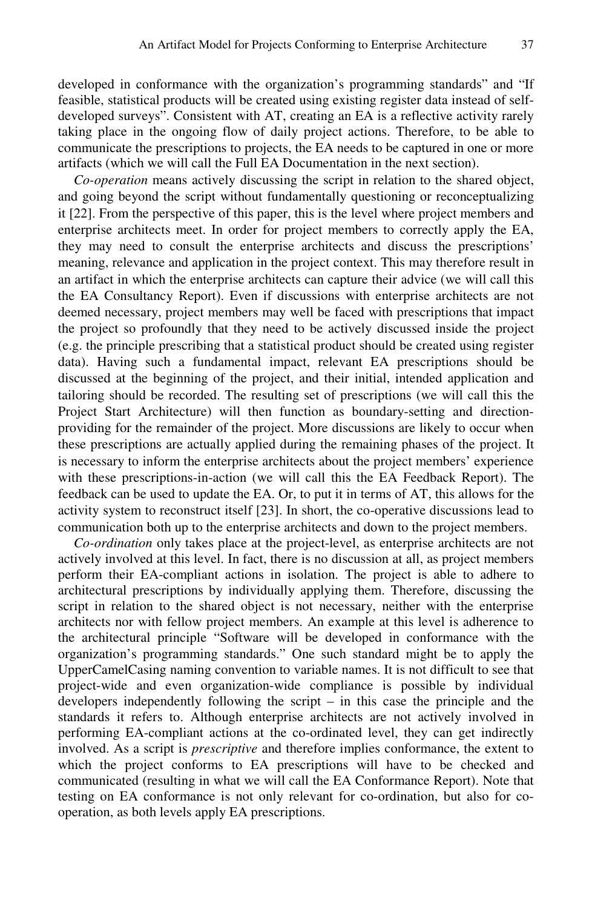developed in conformance with the organization's programming standards" and "If feasible, statistical products will be created using existing register data instead of selfdeveloped surveys". Consistent with AT, creating an EA is a reflective activity rarely taking place in the ongoing flow of daily project actions. Therefore, to be able to communicate the prescriptions to projects, the EA needs to be captured in one or more artifacts (which we will call the Full EA Documentation in the next section).

*Co-operation* means actively discussing the script in relation to the shared object, and going beyond the script without fundamentally questioning or reconceptualizing it [22]. From the perspective of this paper, this is the level where project members and enterprise architects meet. In order for project members to correctly apply the EA, they may need to consult the enterprise architects and discuss the prescriptions' meaning, relevance and application in the project context. This may therefore result in an artifact in which the enterprise architects can capture their advice (we will call this the EA Consultancy Report). Even if discussions with enterprise architects are not deemed necessary, project members may well be faced with prescriptions that impact the project so profoundly that they need to be actively discussed inside the project (e.g. the principle prescribing that a statistical product should be created using register data). Having such a fundamental impact, relevant EA prescriptions should be discussed at the beginning of the project, and their initial, intended application and tailoring should be recorded. The resulting set of prescriptions (we will call this the Project Start Architecture) will then function as boundary-setting and directionproviding for the remainder of the project. More discussions are likely to occur when these prescriptions are actually applied during the remaining phases of the project. It is necessary to inform the enterprise architects about the project members' experience with these prescriptions-in-action (we will call this the EA Feedback Report). The feedback can be used to update the EA. Or, to put it in terms of AT, this allows for the activity system to reconstruct itself [23]. In short, the co-operative discussions lead to communication both up to the enterprise architects and down to the project members.

*Co-ordination* only takes place at the project-level, as enterprise architects are not actively involved at this level. In fact, there is no discussion at all, as project members perform their EA-compliant actions in isolation. The project is able to adhere to architectural prescriptions by individually applying them. Therefore, discussing the script in relation to the shared object is not necessary, neither with the enterprise architects nor with fellow project members. An example at this level is adherence to the architectural principle "Software will be developed in conformance with the organization's programming standards." One such standard might be to apply the UpperCamelCasing naming convention to variable names. It is not difficult to see that project-wide and even organization-wide compliance is possible by individual developers independently following the script – in this case the principle and the standards it refers to. Although enterprise architects are not actively involved in performing EA-compliant actions at the co-ordinated level, they can get indirectly involved. As a script is *prescriptive* and therefore implies conformance, the extent to which the project conforms to EA prescriptions will have to be checked and communicated (resulting in what we will call the EA Conformance Report). Note that testing on EA conformance is not only relevant for co-ordination, but also for cooperation, as both levels apply EA prescriptions.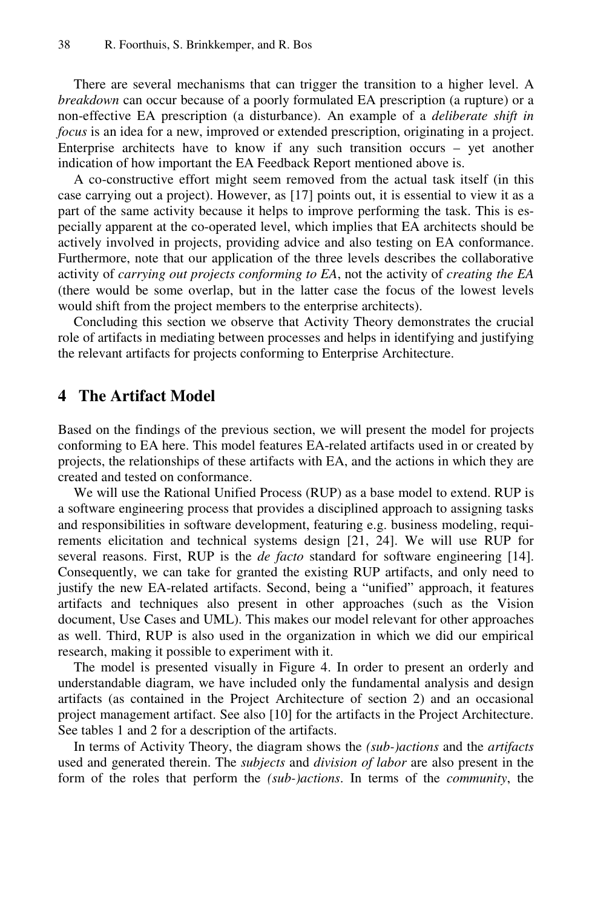There are several mechanisms that can trigger the transition to a higher level. A *breakdown* can occur because of a poorly formulated EA prescription (a rupture) or a non-effective EA prescription (a disturbance). An example of a *deliberate shift in focus* is an idea for a new, improved or extended prescription, originating in a project. Enterprise architects have to know if any such transition occurs – yet another indication of how important the EA Feedback Report mentioned above is.

A co-constructive effort might seem removed from the actual task itself (in this case carrying out a project). However, as [17] points out, it is essential to view it as a part of the same activity because it helps to improve performing the task. This is especially apparent at the co-operated level, which implies that EA architects should be actively involved in projects, providing advice and also testing on EA conformance. Furthermore, note that our application of the three levels describes the collaborative activity of *carrying out projects conforming to EA*, not the activity of *creating the EA*  (there would be some overlap, but in the latter case the focus of the lowest levels would shift from the project members to the enterprise architects).

Concluding this section we observe that Activity Theory demonstrates the crucial role of artifacts in mediating between processes and helps in identifying and justifying the relevant artifacts for projects conforming to Enterprise Architecture.

### **4 The Artifact Model**

Based on the findings of the previous section, we will present the model for projects conforming to EA here. This model features EA-related artifacts used in or created by projects, the relationships of these artifacts with EA, and the actions in which they are created and tested on conformance.

We will use the Rational Unified Process (RUP) as a base model to extend. RUP is a software engineering process that provides a disciplined approach to assigning tasks and responsibilities in software development, featuring e.g. business modeling, requirements elicitation and technical systems design [21, 24]. We will use RUP for several reasons. First, RUP is the *de facto* standard for software engineering [14]. Consequently, we can take for granted the existing RUP artifacts, and only need to justify the new EA-related artifacts. Second, being a "unified" approach, it features artifacts and techniques also present in other approaches (such as the Vision document, Use Cases and UML). This makes our model relevant for other approaches as well. Third, RUP is also used in the organization in which we did our empirical research, making it possible to experiment with it.

The model is presented visually in Figure 4. In order to present an orderly and understandable diagram, we have included only the fundamental analysis and design artifacts (as contained in the Project Architecture of section 2) and an occasional project management artifact. See also [10] for the artifacts in the Project Architecture. See tables 1 and 2 for a description of the artifacts.

In terms of Activity Theory, the diagram shows the *(sub-)actions* and the *artifacts* used and generated therein. The *subjects* and *division of labor* are also present in the form of the roles that perform the *(sub-)actions*. In terms of the *community*, the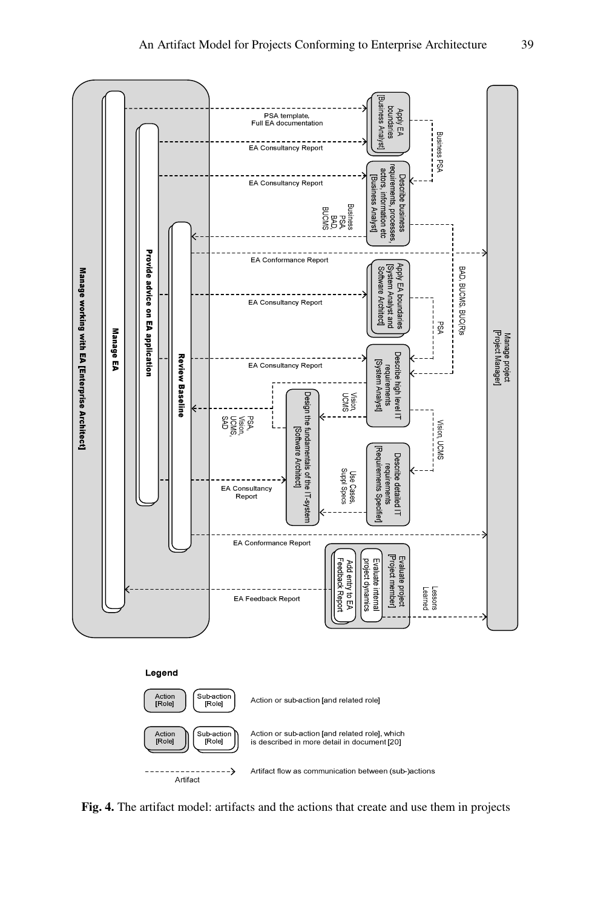

**Fig. 4.** The artifact model: artifacts and the actions that create and use them in projects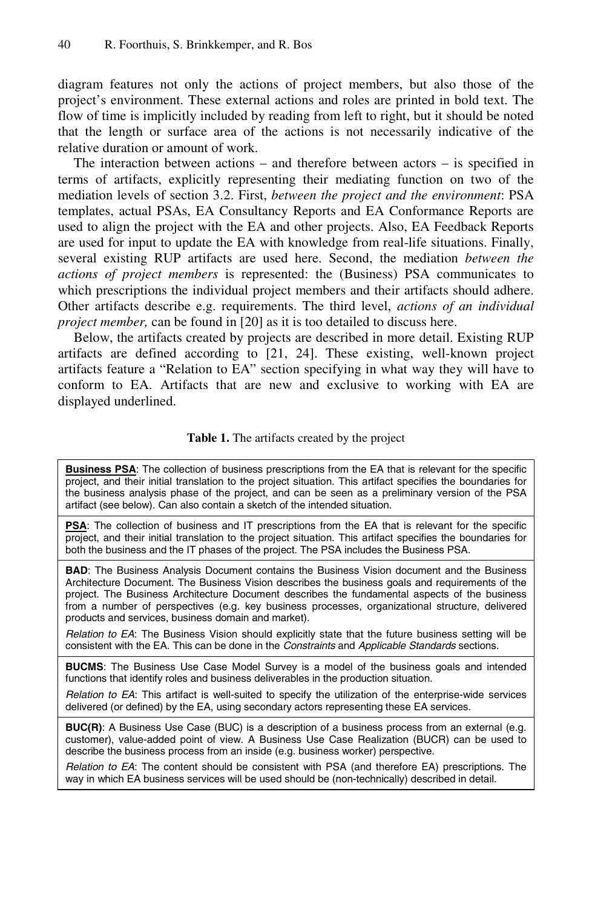diagram features not only the actions of project members, but also those of the project's environment. These external actions and roles are printed in bold text. The flow of time is implicitly included by reading from left to right, but it should be noted that the length or surface area of the actions is not necessarily indicative of the relative duration or amount of work.

The interaction between actions – and therefore between actors – is specified in terms of artifacts, explicitly representing their mediating function on two of the mediation levels of section 3.2. First, *between the project and the environment*: PSA templates, actual PSAs, EA Consultancy Reports and EA Conformance Reports are used to align the project with the EA and other projects. Also, EA Feedback Reports are used for input to update the EA with knowledge from real-life situations. Finally, several existing RUP artifacts are used here. Second, the mediation *between the actions of project members* is represented: the (Business) PSA communicates to which prescriptions the individual project members and their artifacts should adhere. Other artifacts describe e.g. requirements. The third level, *actions of an individual project member,* can be found in [20] as it is too detailed to discuss here.

Below, the artifacts created by projects are described in more detail. Existing RUP artifacts are defined according to [21, 24]. These existing, well-known project artifacts feature a "Relation to EA" section specifying in what way they will have to conform to EA. Artifacts that are new and exclusive to working with EA are displayed underlined.

#### **Table 1.** The artifacts created by the project

**Business PSA**: The collection of business prescriptions from the EA that is relevant for the specific project, and their initial translation to the project situation. This artifact specifies the boundaries for the business analysis phase of the project, and can be seen as a preliminary version of the PSA artifact (see below). Can also contain a sketch of the intended situation.

**PSA**: The collection of business and IT prescriptions from the EA that is relevant for the specific project, and their initial translation to the project situation. This artifact specifies the boundaries for both the business and the IT phases of the project. The PSA includes the Business PSA.

**BAD**: The Business Analysis Document contains the Business Vision document and the Business Architecture Document. The Business Vision describes the business goals and requirements of the project. The Business Architecture Document describes the fundamental aspects of the business from a number of perspectives (e.g. key business processes, organizational structure, delivered products and services, business domain and market).

Relation to EA: The Business Vision should explicitly state that the future business setting will be consistent with the EA. This can be done in the Constraints and Applicable Standards sections.

**BUCMS**: The Business Use Case Model Survey is a model of the business goals and intended functions that identify roles and business deliverables in the production situation.

Relation to EA: This artifact is well-suited to specify the utilization of the enterprise-wide services delivered (or defined) by the EA, using secondary actors representing these EA services.

**BUC(R)**: A Business Use Case (BUC) is a description of a business process from an external (e.g. customer), value-added point of view. A Business Use Case Realization (BUCR) can be used to describe the business process from an inside (e.g. business worker) perspective.

Relation to EA: The content should be consistent with PSA (and therefore EA) prescriptions. The way in which EA business services will be used should be (non-technically) described in detail.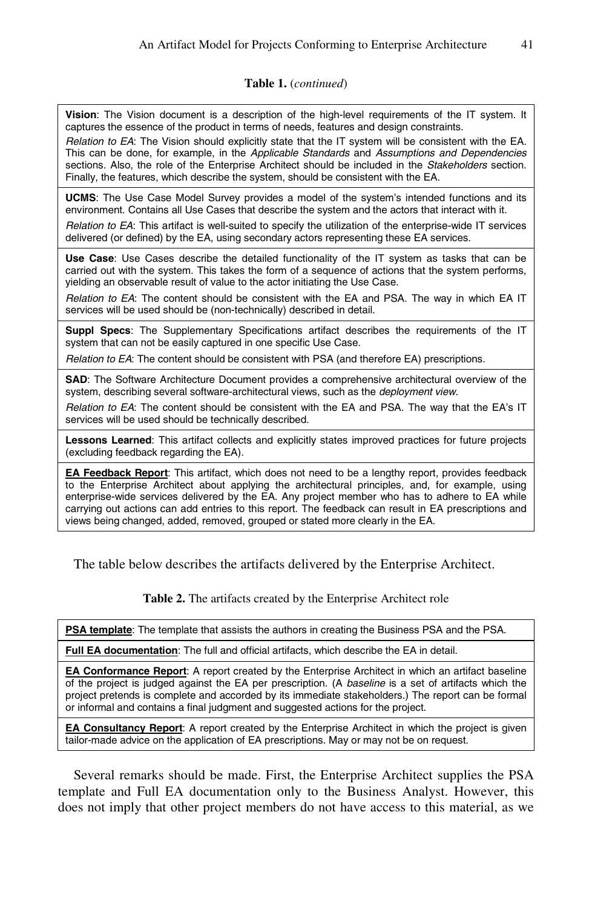#### **Table 1.** (*continued*)

**Vision**: The Vision document is a description of the high-level requirements of the IT system. It captures the essence of the product in terms of needs, features and design constraints.

Relation to EA: The Vision should explicitly state that the IT system will be consistent with the EA. This can be done, for example, in the Applicable Standards and Assumptions and Dependencies sections. Also, the role of the Enterprise Architect should be included in the Stakeholders section. Finally, the features, which describe the system, should be consistent with the EA.

**UCMS**: The Use Case Model Survey provides a model of the system's intended functions and its environment. Contains all Use Cases that describe the system and the actors that interact with it.

Relation to EA: This artifact is well-suited to specify the utilization of the enterprise-wide IT services delivered (or defined) by the EA, using secondary actors representing these EA services.

**Use Case**: Use Cases describe the detailed functionality of the IT system as tasks that can be carried out with the system. This takes the form of a sequence of actions that the system performs, yielding an observable result of value to the actor initiating the Use Case.

Relation to EA: The content should be consistent with the EA and PSA. The way in which EA IT services will be used should be (non-technically) described in detail.

**Suppl Specs**: The Supplementary Specifications artifact describes the requirements of the IT system that can not be easily captured in one specific Use Case.

Relation to EA: The content should be consistent with PSA (and therefore EA) prescriptions.

**SAD**: The Software Architecture Document provides a comprehensive architectural overview of the system, describing several software-architectural views, such as the *deployment view*.

Relation to EA: The content should be consistent with the EA and PSA. The way that the EA's IT services will be used should be technically described.

**Lessons Learned**: This artifact collects and explicitly states improved practices for future projects (excluding feedback regarding the EA).

**EA Feedback Report**: This artifact, which does not need to be a lengthy report, provides feedback to the Enterprise Architect about applying the architectural principles, and, for example, using enterprise-wide services delivered by the EA. Any project member who has to adhere to EA while carrying out actions can add entries to this report. The feedback can result in EA prescriptions and views being changed, added, removed, grouped or stated more clearly in the EA.

The table below describes the artifacts delivered by the Enterprise Architect.

**Table 2.** The artifacts created by the Enterprise Architect role

**PSA template**: The template that assists the authors in creating the Business PSA and the PSA.

**Full EA documentation**: The full and official artifacts, which describe the EA in detail.

**EA Conformance Report**: A report created by the Enterprise Architect in which an artifact baseline of the project is judged against the EA per prescription. (A baseline is a set of artifacts which the project pretends is complete and accorded by its immediate stakeholders.) The report can be formal or informal and contains a final judgment and suggested actions for the project.

**EA Consultancy Report**: A report created by the Enterprise Architect in which the project is given tailor-made advice on the application of EA prescriptions. May or may not be on request.

Several remarks should be made. First, the Enterprise Architect supplies the PSA template and Full EA documentation only to the Business Analyst. However, this does not imply that other project members do not have access to this material, as we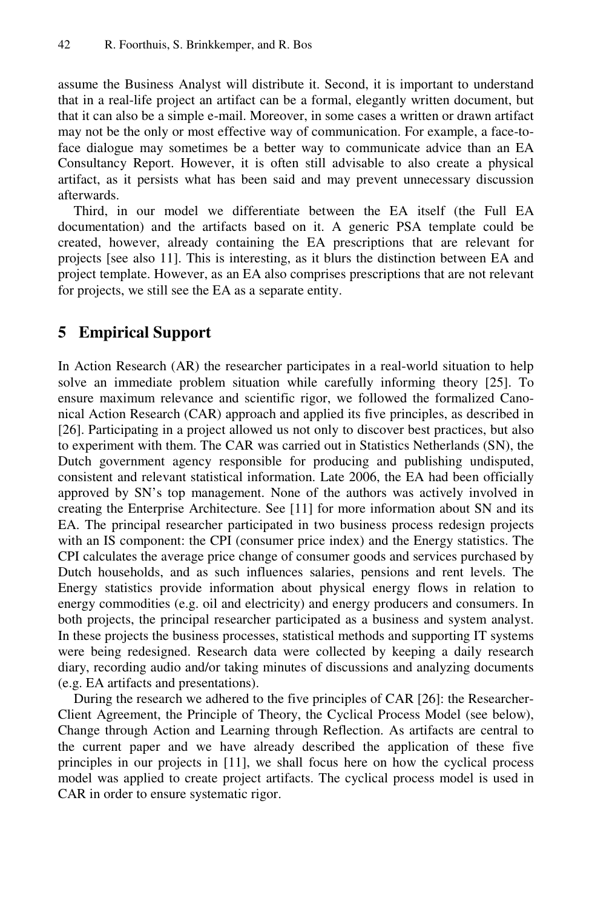assume the Business Analyst will distribute it. Second, it is important to understand that in a real-life project an artifact can be a formal, elegantly written document, but that it can also be a simple e-mail. Moreover, in some cases a written or drawn artifact may not be the only or most effective way of communication. For example, a face-toface dialogue may sometimes be a better way to communicate advice than an EA Consultancy Report. However, it is often still advisable to also create a physical artifact, as it persists what has been said and may prevent unnecessary discussion afterwards.

Third, in our model we differentiate between the EA itself (the Full EA documentation) and the artifacts based on it. A generic PSA template could be created, however, already containing the EA prescriptions that are relevant for projects [see also 11]. This is interesting, as it blurs the distinction between EA and project template. However, as an EA also comprises prescriptions that are not relevant for projects, we still see the EA as a separate entity.

# **5 Empirical Support**

In Action Research (AR) the researcher participates in a real-world situation to help solve an immediate problem situation while carefully informing theory [25]. To ensure maximum relevance and scientific rigor, we followed the formalized Canonical Action Research (CAR) approach and applied its five principles, as described in [26]. Participating in a project allowed us not only to discover best practices, but also to experiment with them. The CAR was carried out in Statistics Netherlands (SN), the Dutch government agency responsible for producing and publishing undisputed, consistent and relevant statistical information. Late 2006, the EA had been officially approved by SN's top management. None of the authors was actively involved in creating the Enterprise Architecture. See [11] for more information about SN and its EA. The principal researcher participated in two business process redesign projects with an IS component: the CPI (consumer price index) and the Energy statistics. The CPI calculates the average price change of consumer goods and services purchased by Dutch households, and as such influences salaries, pensions and rent levels. The Energy statistics provide information about physical energy flows in relation to energy commodities (e.g. oil and electricity) and energy producers and consumers. In both projects, the principal researcher participated as a business and system analyst. In these projects the business processes, statistical methods and supporting IT systems were being redesigned. Research data were collected by keeping a daily research diary, recording audio and/or taking minutes of discussions and analyzing documents (e.g. EA artifacts and presentations).

During the research we adhered to the five principles of CAR [26]: the Researcher-Client Agreement, the Principle of Theory, the Cyclical Process Model (see below), Change through Action and Learning through Reflection. As artifacts are central to the current paper and we have already described the application of these five principles in our projects in [11], we shall focus here on how the cyclical process model was applied to create project artifacts. The cyclical process model is used in CAR in order to ensure systematic rigor.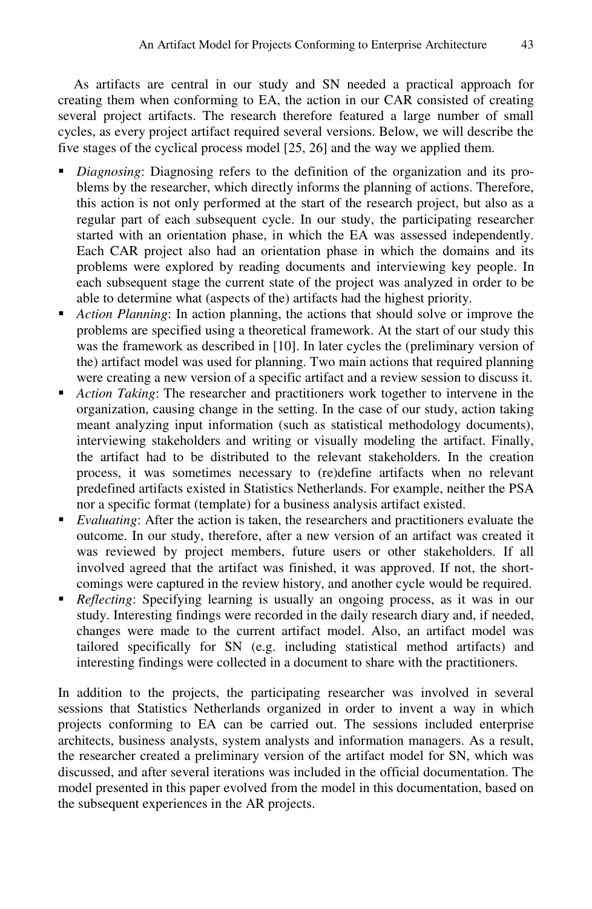As artifacts are central in our study and SN needed a practical approach for creating them when conforming to EA, the action in our CAR consisted of creating several project artifacts. The research therefore featured a large number of small cycles, as every project artifact required several versions. Below, we will describe the five stages of the cyclical process model [25, 26] and the way we applied them.

- *Diagnosing*: Diagnosing refers to the definition of the organization and its problems by the researcher, which directly informs the planning of actions. Therefore, this action is not only performed at the start of the research project, but also as a regular part of each subsequent cycle. In our study, the participating researcher started with an orientation phase, in which the EA was assessed independently. Each CAR project also had an orientation phase in which the domains and its problems were explored by reading documents and interviewing key people. In each subsequent stage the current state of the project was analyzed in order to be able to determine what (aspects of the) artifacts had the highest priority.
- *Action Planning*: In action planning, the actions that should solve or improve the problems are specified using a theoretical framework. At the start of our study this was the framework as described in [10]. In later cycles the (preliminary version of the) artifact model was used for planning. Two main actions that required planning were creating a new version of a specific artifact and a review session to discuss it.
- *Action Taking*: The researcher and practitioners work together to intervene in the organization, causing change in the setting. In the case of our study, action taking meant analyzing input information (such as statistical methodology documents), interviewing stakeholders and writing or visually modeling the artifact. Finally, the artifact had to be distributed to the relevant stakeholders. In the creation process, it was sometimes necessary to (re)define artifacts when no relevant predefined artifacts existed in Statistics Netherlands. For example, neither the PSA nor a specific format (template) for a business analysis artifact existed.
- *Evaluating*: After the action is taken, the researchers and practitioners evaluate the outcome. In our study, therefore, after a new version of an artifact was created it was reviewed by project members, future users or other stakeholders. If all involved agreed that the artifact was finished, it was approved. If not, the shortcomings were captured in the review history, and another cycle would be required.
- **Reflecting:** Specifying learning is usually an ongoing process, as it was in our study. Interesting findings were recorded in the daily research diary and, if needed, changes were made to the current artifact model. Also, an artifact model was tailored specifically for SN (e.g. including statistical method artifacts) and interesting findings were collected in a document to share with the practitioners.

In addition to the projects, the participating researcher was involved in several sessions that Statistics Netherlands organized in order to invent a way in which projects conforming to EA can be carried out. The sessions included enterprise architects, business analysts, system analysts and information managers. As a result, the researcher created a preliminary version of the artifact model for SN, which was discussed, and after several iterations was included in the official documentation. The model presented in this paper evolved from the model in this documentation, based on the subsequent experiences in the AR projects.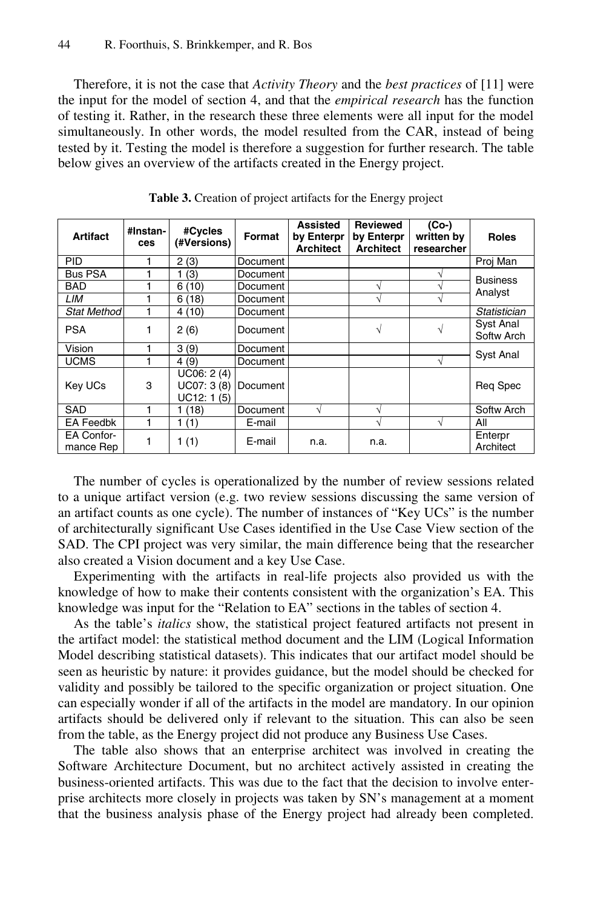Therefore, it is not the case that *Activity Theory* and the *best practices* of [11] were the input for the model of section 4, and that the *empirical research* has the function of testing it. Rather, in the research these three elements were all input for the model simultaneously. In other words, the model resulted from the CAR, instead of being tested by it. Testing the model is therefore a suggestion for further research. The table below gives an overview of the artifacts created in the Energy project.

| Artifact                | #Instan-<br>ces | #Cycles<br>(#Versions)                  | Format   | <b>Assisted</b><br>by Enterpr<br><b>Architect</b> | <b>Reviewed</b><br>by Enterpr<br><b>Architect</b> | $(Co-)$<br>written by<br>researcher | <b>Roles</b>            |
|-------------------------|-----------------|-----------------------------------------|----------|---------------------------------------------------|---------------------------------------------------|-------------------------------------|-------------------------|
| PID                     |                 | 2(3)                                    | Document |                                                   |                                                   |                                     | Proj Man                |
| <b>Bus PSA</b>          |                 | (3)                                     | Document |                                                   |                                                   |                                     | <b>Business</b>         |
| <b>BAD</b>              |                 | 6(10)                                   | Document |                                                   | V                                                 |                                     | Analyst                 |
| LIM                     |                 | 6(18)                                   | Document |                                                   | $\sqrt{ }$                                        | V                                   |                         |
| <b>Stat Method</b>      |                 | 4(10)                                   | Document |                                                   |                                                   |                                     | Statistician            |
| <b>PSA</b>              |                 | 2(6)                                    | Document |                                                   | ٦                                                 | V                                   | Syst Anal<br>Softw Arch |
| Vision                  |                 | 3(9)                                    | Document |                                                   |                                                   |                                     | Syst Anal               |
| <b>UCMS</b>             |                 | 4(9)                                    | Document |                                                   |                                                   | V                                   |                         |
| <b>Key UCs</b>          | 3               | UC06: 2(4)<br>UC07: 3 (8)<br>UC12: 1(5) | Document |                                                   |                                                   |                                     | Reg Spec                |
| SAD                     | 1               | (18)                                    | Document | N                                                 | V                                                 |                                     | Softw Arch              |
| <b>EA Feedbk</b>        |                 | 1(1)                                    | E-mail   |                                                   | V                                                 | V                                   | All                     |
| EA Confor-<br>mance Rep |                 | 1(1)                                    | E-mail   | n.a.                                              | n.a.                                              |                                     | Enterpr<br>Architect    |

**Table 3.** Creation of project artifacts for the Energy project

The number of cycles is operationalized by the number of review sessions related to a unique artifact version (e.g. two review sessions discussing the same version of an artifact counts as one cycle). The number of instances of "Key UCs" is the number of architecturally significant Use Cases identified in the Use Case View section of the SAD. The CPI project was very similar, the main difference being that the researcher also created a Vision document and a key Use Case.

Experimenting with the artifacts in real-life projects also provided us with the knowledge of how to make their contents consistent with the organization's EA. This knowledge was input for the "Relation to EA" sections in the tables of section 4.

As the table's *italics* show, the statistical project featured artifacts not present in the artifact model: the statistical method document and the LIM (Logical Information Model describing statistical datasets). This indicates that our artifact model should be seen as heuristic by nature: it provides guidance, but the model should be checked for validity and possibly be tailored to the specific organization or project situation. One can especially wonder if all of the artifacts in the model are mandatory. In our opinion artifacts should be delivered only if relevant to the situation. This can also be seen from the table, as the Energy project did not produce any Business Use Cases.

The table also shows that an enterprise architect was involved in creating the Software Architecture Document, but no architect actively assisted in creating the business-oriented artifacts. This was due to the fact that the decision to involve enterprise architects more closely in projects was taken by SN's management at a moment that the business analysis phase of the Energy project had already been completed.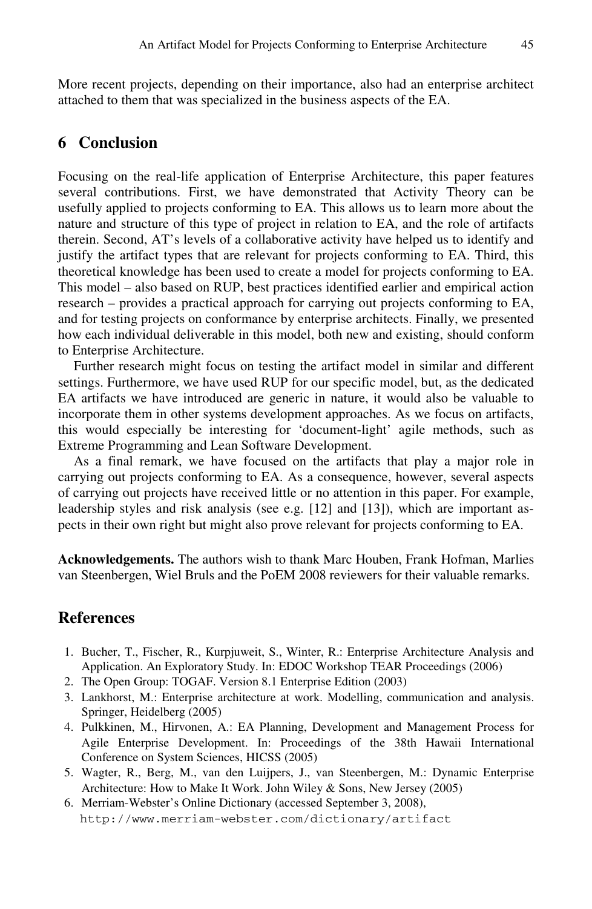More recent projects, depending on their importance, also had an enterprise architect attached to them that was specialized in the business aspects of the EA.

### **6 Conclusion**

Focusing on the real-life application of Enterprise Architecture, this paper features several contributions. First, we have demonstrated that Activity Theory can be usefully applied to projects conforming to EA. This allows us to learn more about the nature and structure of this type of project in relation to EA, and the role of artifacts therein. Second, AT's levels of a collaborative activity have helped us to identify and justify the artifact types that are relevant for projects conforming to EA. Third, this theoretical knowledge has been used to create a model for projects conforming to EA. This model – also based on RUP, best practices identified earlier and empirical action research – provides a practical approach for carrying out projects conforming to EA, and for testing projects on conformance by enterprise architects. Finally, we presented how each individual deliverable in this model, both new and existing, should conform to Enterprise Architecture.

Further research might focus on testing the artifact model in similar and different settings. Furthermore, we have used RUP for our specific model, but, as the dedicated EA artifacts we have introduced are generic in nature, it would also be valuable to incorporate them in other systems development approaches. As we focus on artifacts, this would especially be interesting for 'document-light' agile methods, such as Extreme Programming and Lean Software Development.

As a final remark, we have focused on the artifacts that play a major role in carrying out projects conforming to EA. As a consequence, however, several aspects of carrying out projects have received little or no attention in this paper. For example, leadership styles and risk analysis (see e.g. [12] and [13]), which are important aspects in their own right but might also prove relevant for projects conforming to EA.

**Acknowledgements.** The authors wish to thank Marc Houben, Frank Hofman, Marlies van Steenbergen, Wiel Bruls and the PoEM 2008 reviewers for their valuable remarks.

### **References**

- 1. Bucher, T., Fischer, R., Kurpjuweit, S., Winter, R.: Enterprise Architecture Analysis and Application. An Exploratory Study. In: EDOC Workshop TEAR Proceedings (2006)
- 2. The Open Group: TOGAF. Version 8.1 Enterprise Edition (2003)
- 3. Lankhorst, M.: Enterprise architecture at work. Modelling, communication and analysis. Springer, Heidelberg (2005)
- 4. Pulkkinen, M., Hirvonen, A.: EA Planning, Development and Management Process for Agile Enterprise Development. In: Proceedings of the 38th Hawaii International Conference on System Sciences, HICSS (2005)
- 5. Wagter, R., Berg, M., van den Luijpers, J., van Steenbergen, M.: Dynamic Enterprise Architecture: How to Make It Work. John Wiley & Sons, New Jersey (2005)
- 6. Merriam-Webster's Online Dictionary (accessed September 3, 2008), http://www.merriam-webster.com/dictionary/artifact